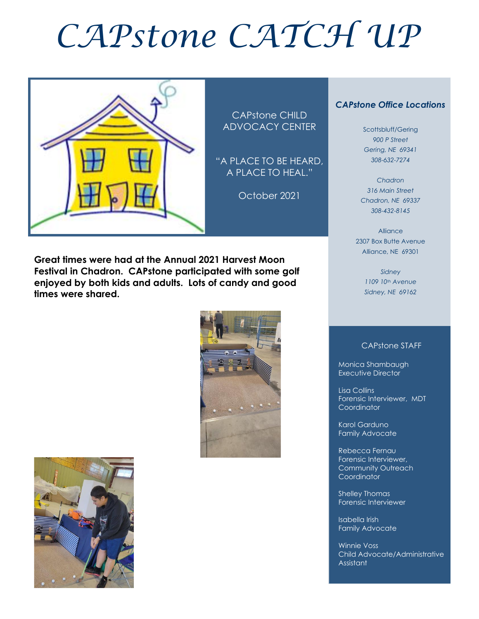# *CAPstone CATCH UP*



CAPstone CHILD ADVOCACY CENTER

"A PLACE TO BE HEARD, A PLACE TO HEAL."

October 2021

**Great times were had at the Annual 2021 Harvest Moon Festival in Chadron. CAPstone participated with some golf enjoyed by both kids and adults. Lots of candy and good times were shared.** 





#### *CAPstone Office Locations*

Scottsbluff/Gering *900 P Street Gering, NE 69341 308-632-7274*

*Chadron 316 Main Street Chadron, NE 69337 308-432-8145*

Alliance 2307 Box Butte Avenue Alliance, NE 69301

> *Sidney 1109 10th Avenue Sidney, NE 69162*

#### CAPstone STAFF

Monica Shambaugh Executive Director

I

Lisa Collins Forensic Interviewer, MDT **Coordinator** 

Karol Garduno Family Advocate

Rebecca Fernau Forensic Interviewer, Community Outreach Coordinator

Shelley Thomas Forensic Interviewer

Isabella Irish Family Advocate

Winnie Voss Child Advocate/Administrative Assistant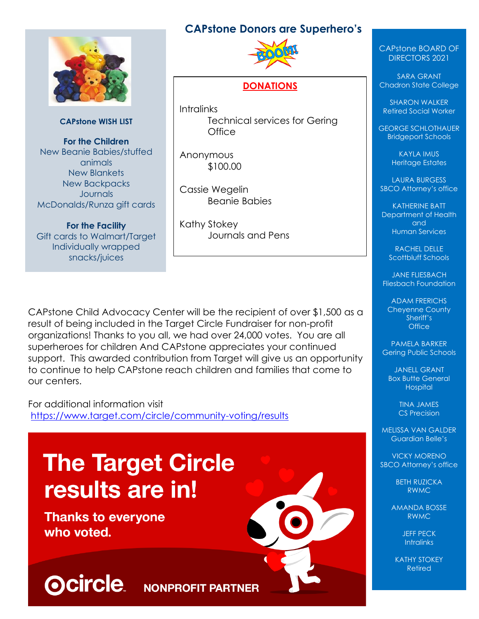## **CAPstone Donors are Superhero's**



**CAPstone WISH LIST**

**For the Children** New Beanie Babies/stuffed animals New Blankets New Backpacks **Journals** McDonalds/Runza gift cards

**For the Facility** Gift cards to Walmart/Target Individually wrapped snacks/juices



#### **DONATIONS**

**Intralinks** Technical services for Gering **Office** 

Anonymous \$100.00

Cassie Wegelin Beanie Babies

Kathy Stokey Journals and Pens

CAPstone Child Advocacy Center will be the recipient of over \$1,500 as a result of being included in the Target Circle Fundraiser for non-profit organizations! Thanks to you all, we had over 24,000 votes. You are all superheroes for children And CAPstone appreciates your continued support. This awarded contribution from Target will give us an opportunity to continue to help CAPstone reach children and families that come to our centers.

For additional information visit <https://www.target.com/circle/community-voting/results>

# **The Target Circle** results are in!

**Thanks to everyone** who voted.

**Ocircle** 



#### CAPstone BOARD OF DIRECTORS 2021

SARA GRANT Chadron State College

SHARON WALKER Retired Social Worker

GEORGE SCHLOTHAUER Bridgeport Schools

> KAYLA IMUS Heritage Estates

LAURA BURGESS SBCO Attorney's office

KATHERINE BATT Department of Health and Human Services

> RACHEL DELLE Scottbluff Schools

JANE FLIESBACH Fliesbach Foundation

ADAM FRERICHS Cheyenne County Sheriff's **Office** 

PAMELA BARKER Gering Public Schools

JANELL GRANT Box Butte General **Hospital** 

> TINA JAMES CS Precision

MELISSA VAN GALDER Guardian Belle's

VICKY MORENO SBCO Attorney's office

> BETH RUZICKA RWMC

AMANDA BOSSE RWMC

> JEFF PECK **Intralinks**

KATHY STOKEY Retired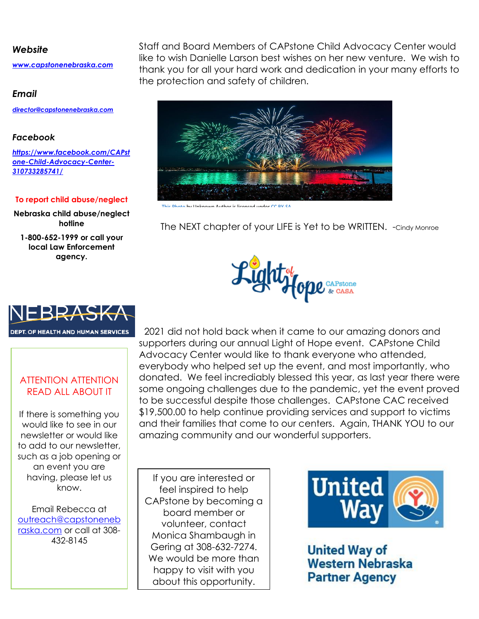#### *Website*

*[www.capstonenebraska.com](http://www.capstonenebraska.com/)*

#### *Email*

*[director@capstonenebraska.com](mailto:director@capstonenebraska.com)*

#### *Facebook*

*[https://www.facebook.com/CAPst](https://www.facebook.com/CAPstone-Child-Advocacy-Center-310733285741/) [one-Child-Advocacy-Center-](https://www.facebook.com/CAPstone-Child-Advocacy-Center-310733285741/)[310733285741/](https://www.facebook.com/CAPstone-Child-Advocacy-Center-310733285741/)*

#### **To report child abuse/neglect**

**Nebraska child abuse/neglect hotline**

**1-800-652-1999 or call your local Law Enforcement agency.**

Staff and Board Members of CAPstone Child Advocacy Center would like to wish Danielle Larson best wishes on her new venture. We wish to thank you for all your hard work and dedication in your many efforts to the protection and safety of children.



The NEXT chapter of your LIFE is Yet to be WRITTEN. -Cindy Monroe





#### ATTENTION ATTENTION READ ALL ABOUT IT

If there is something you would like to see in our newsletter or would like to add to our newsletter, such as a job opening or an event you are having, please let us know.

Email Rebecca at [outreach@capstoneneb](mailto:outreach@capstonenebraska.com) [raska.com](mailto:outreach@capstonenebraska.com) or call at 308- 432-8145

Page 2

 2021 did not hold back when it came to our amazing donors and supporters during our annual Light of Hope event. CAPstone Child Advocacy Center would like to thank everyone who attended, everybody who helped set up the event, and most importantly, who donated. We feel incrediably blessed this year, as last year there were some ongoing challenges due to the pandemic, yet the event proved to be successful despite those challenges. CAPstone CAC received \$19,500.00 to help continue providing services and support to victims and their families that come to our centers. Again, THANK YOU to our amazing community and our wonderful supporters.

If you are interested or feel inspired to help CAPstone by becoming a board member or volunteer, contact Monica Shambaugh in Gering at 308-632-7274. We would be more than happy to visit with you about this opportunity.



**United Way of Western Nebraska Partner Agency**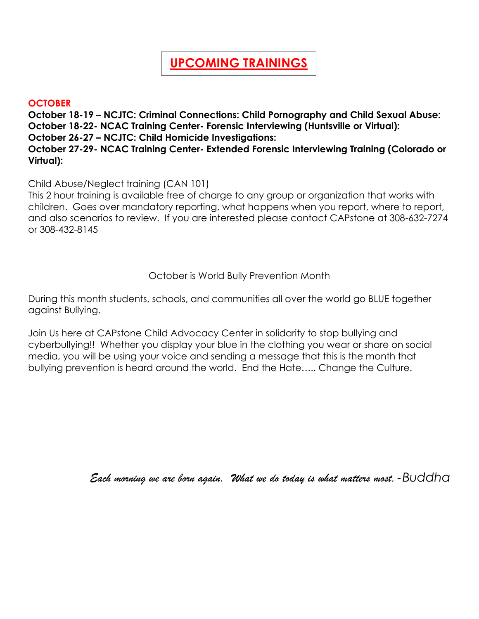# **UPCOMING TRAININGS**

#### **OCTOBER**

**October 18-19 – NCJTC: Criminal Connections: Child Pornography and Child Sexual Abuse: October 18-22- NCAC Training Center- Forensic Interviewing (Huntsville or Virtual): October 26-27 – NCJTC: Child Homicide Investigations: October 27-29- NCAC Training Center- Extended Forensic Interviewing Training (Colorado or Virtual):** 

Child Abuse/Neglect training (CAN 101)

This 2 hour training is available free of charge to any group or organization that works with children. Goes over mandatory reporting, what happens when you report, where to report, and also scenarios to review. If you are interested please contact CAPstone at 308-632-7274 or 308-432-8145

October is World Bully Prevention Month

During this month students, schools, and communities all over the world go BLUE together against Bullying.

Join Us here at CAPstone Child Advocacy Center in solidarity to stop bullying and cyberbullying!! Whether you display your blue in the clothing you wear or share on social media, you will be using your voice and sending a message that this is the month that bullying prevention is heard around the world. End the Hate….. Change the Culture.

*Each morning we are born again. What we do today is what matters most.-Buddha*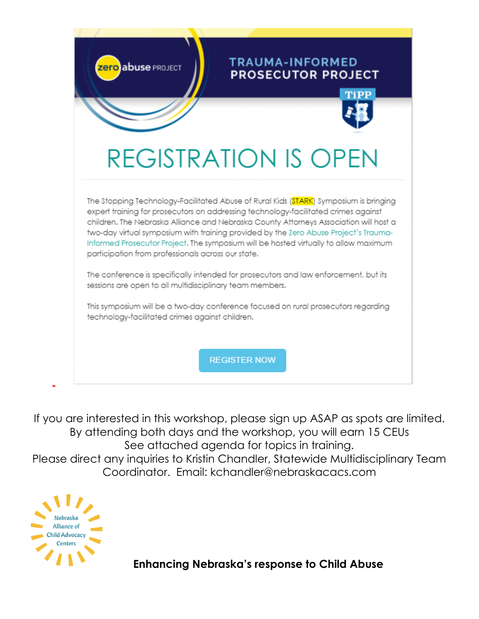

If you are interested in this workshop, please sign up ASAP as spots are limited. By attending both days and the workshop, you will earn 15 CEUs See attached agenda for topics in training. Please direct any inquiries to Kristin Chandler, Statewide Multidisciplinary Team Coordinator. Email: kchandler@nebraskacacs.com



 **Enhancing Nebraska's response to Child Abuse**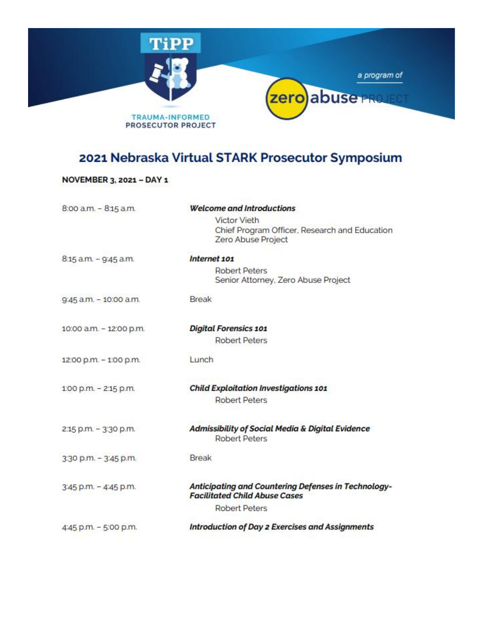

# 2021 Nebraska Virtual STARK Prosecutor Symposium

#### NOVEMBER 3, 2021 - DAY 1

| 8:00 a.m. - 8:15 a.m.   | <b>Welcome and Introductions</b>                                                            |
|-------------------------|---------------------------------------------------------------------------------------------|
|                         | <b>Victor Vieth</b>                                                                         |
|                         | Chief Program Officer, Research and Education                                               |
|                         | Zero Abuse Project                                                                          |
| 8:15 a.m. - 9:45 a.m.   | Internet 101                                                                                |
|                         | <b>Robert Peters</b>                                                                        |
|                         | Senior Attorney, Zero Abuse Project                                                         |
| 9:45 a.m. - 10:00 a.m.  | <b>Break</b>                                                                                |
|                         |                                                                                             |
| 10:00 a.m. - 12:00 p.m. | <b>Digital Forensics 101</b>                                                                |
|                         | <b>Robert Peters</b>                                                                        |
| 12:00 p.m. - 1:00 p.m.  | Lunch                                                                                       |
|                         |                                                                                             |
| 1:00 p.m. - 2:15 p.m.   | <b>Child Exploitation Investigations 101</b>                                                |
|                         | <b>Robert Peters</b>                                                                        |
| 2:15 p.m. - 3:30 p.m.   | <b>Admissibility of Social Media &amp; Digital Evidence</b>                                 |
|                         | <b>Robert Peters</b>                                                                        |
| 3:30 p.m. - 3:45 p.m.   | Break                                                                                       |
|                         |                                                                                             |
| 3:45 p.m. - 4:45 p.m.   | Anticipating and Countering Defenses in Technology-<br><b>Facilitated Child Abuse Cases</b> |
|                         | <b>Robert Peters</b>                                                                        |
| 4:45 p.m. - 5:00 p.m.   | <b>Introduction of Day 2 Exercises and Assignments</b>                                      |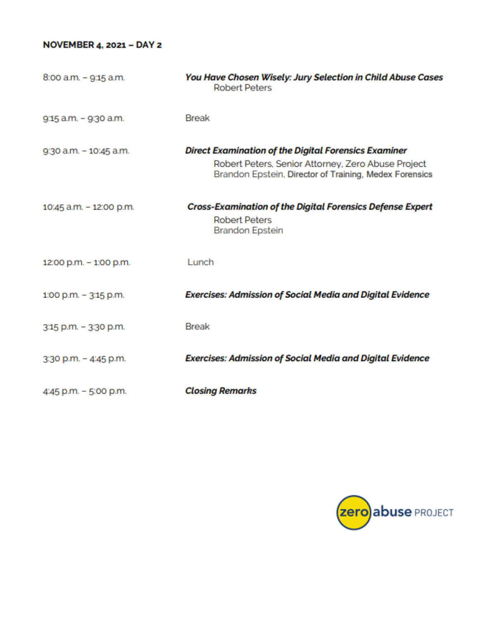#### NOVEMBER 4, 2021 - DAY 2

| $8:00$ a.m. $-$ 9:15 a.m. | You Have Chosen Wisely: Jury Selection in Child Abuse Cases<br><b>Robert Peters</b>                                                                                  |
|---------------------------|----------------------------------------------------------------------------------------------------------------------------------------------------------------------|
| 9:15 a.m. - 9:30 a.m.     | <b>Break</b>                                                                                                                                                         |
| 9:30 a.m. - 10:45 a.m.    | Direct Examination of the Digital Forensics Examiner<br>Robert Peters, Senior Attorney, Zero Abuse Project<br>Brandon Epstein, Director of Training, Medex Forensics |
| 10:45 a.m. - 12:00 p.m.   | <b>Cross-Examination of the Digital Forensics Defense Expert</b><br><b>Robert Peters</b><br><b>Brandon Epstein</b>                                                   |
| 12:00 p.m. - 1:00 p.m.    | Lunch                                                                                                                                                                |
| $1:00$ p.m. $-3:15$ p.m.  | <b>Exercises: Admission of Social Media and Digital Evidence</b>                                                                                                     |
| 3:15 p.m. - 3:30 p.m.     | <b>Break</b>                                                                                                                                                         |
| 3:30 p.m. - 4:45 p.m.     | <b>Exercises: Admission of Social Media and Digital Evidence</b>                                                                                                     |
| 4:45 p.m. - 5:00 p.m.     | <b>Closing Remarks</b>                                                                                                                                               |

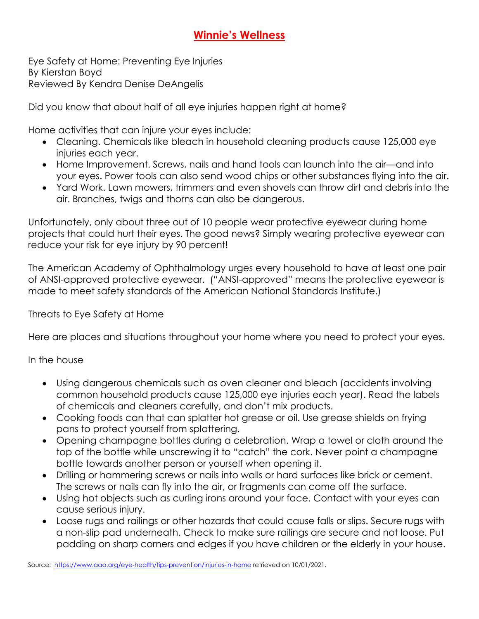# **Winnie's Wellness**

Eye Safety at Home: Preventing Eye Injuries By Kierstan Boyd Reviewed By Kendra Denise DeAngelis

Did you know that about half of all eye injuries happen right at home?

Home activities that can injure your eyes include:

- Cleaning. Chemicals like bleach in household cleaning products cause 125,000 eye injuries each year.
- Home Improvement. Screws, nails and hand tools can launch into the air—and into your eyes. Power tools can also send wood chips or other substances flying into the air.
- Yard Work. Lawn mowers, trimmers and even shovels can throw dirt and debris into the air. Branches, twigs and thorns can also be dangerous.

Unfortunately, only about three out of 10 people wear protective eyewear during home projects that could hurt their eyes. The good news? Simply wearing protective eyewear can reduce your risk for eye injury by 90 percent!

The American Academy of Ophthalmology urges every household to have at least one pair of ANSI-approved protective eyewear. ("ANSI-approved" means the protective eyewear is made to meet safety standards of the American National Standards Institute.)

Threats to Eye Safety at Home

Here are places and situations throughout your home where you need to protect your eyes.

In the house

- Using dangerous chemicals such as oven cleaner and bleach (accidents involving common household products cause 125,000 eye injuries each year). Read the labels of chemicals and cleaners carefully, and don't mix products.
- Cooking foods can that can splatter hot grease or oil. Use grease shields on frying pans to protect yourself from splattering.
- Opening champagne bottles during a celebration. Wrap a towel or cloth around the top of the bottle while unscrewing it to "catch" the cork. Never point a champagne bottle towards another person or yourself when opening it.
- Drilling or hammering screws or nails into walls or hard surfaces like brick or cement. The screws or nails can fly into the air, or fragments can come off the surface.
- Using hot objects such as curling irons around your face. Contact with your eyes can cause serious injury.
- Loose rugs and railings or other hazards that could cause falls or slips. Secure rugs with a non-slip pad underneath. Check to make sure railings are secure and not loose. Put padding on sharp corners and edges if you have children or the elderly in your house.